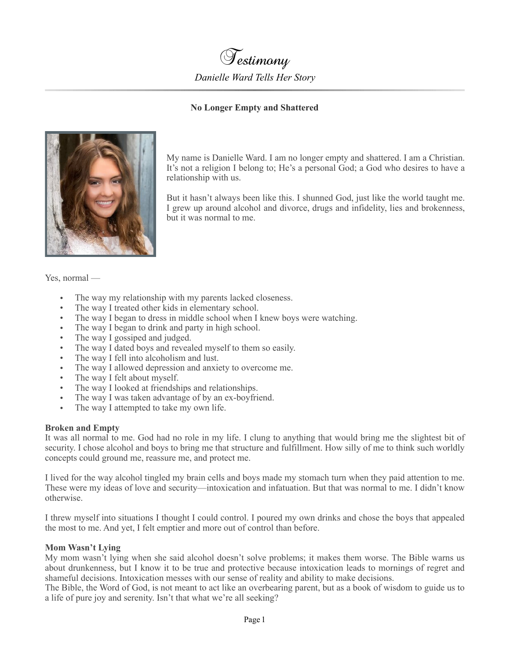

# **No Longer Empty and Shattered**



My name is Danielle Ward. I am no longer empty and shattered. I am a Christian. It's not a religion I belong to; He's a personal God; a God who desires to have a relationship with us.

But it hasn't always been like this. I shunned God, just like the world taught me. I grew up around alcohol and divorce, drugs and infidelity, lies and brokenness, but it was normal to me.

Yes, normal —

- The way my relationship with my parents lacked closeness.
- The way I treated other kids in elementary school.
- The way I began to dress in middle school when I knew boys were watching.
- The way I began to drink and party in high school.
- The way I gossiped and judged.
- The way I dated boys and revealed myself to them so easily.
- The way I fell into alcoholism and lust.
- The way I allowed depression and anxiety to overcome me.
- The way I felt about myself.
- The way I looked at friendships and relationships.
- The way I was taken advantage of by an ex-boyfriend.
- The way I attempted to take my own life.

### **Broken and Empty**

It was all normal to me. God had no role in my life. I clung to anything that would bring me the slightest bit of security. I chose alcohol and boys to bring me that structure and fulfillment. How silly of me to think such worldly concepts could ground me, reassure me, and protect me.

I lived for the way alcohol tingled my brain cells and boys made my stomach turn when they paid attention to me. These were my ideas of love and security—intoxication and infatuation. But that was normal to me. I didn't know otherwise.

I threw myself into situations I thought I could control. I poured my own drinks and chose the boys that appealed the most to me. And yet, I felt emptier and more out of control than before.

### **Mom Wasn't Lying**

My mom wasn't lying when she said alcohol doesn't solve problems; it makes them worse. The Bible warns us about drunkenness, but I know it to be true and protective because intoxication leads to mornings of regret and shameful decisions. Intoxication messes with our sense of reality and ability to make decisions.

The Bible, the Word of God, is not meant to act like an overbearing parent, but as a book of wisdom to guide us to a life of pure joy and serenity. Isn't that what we're all seeking?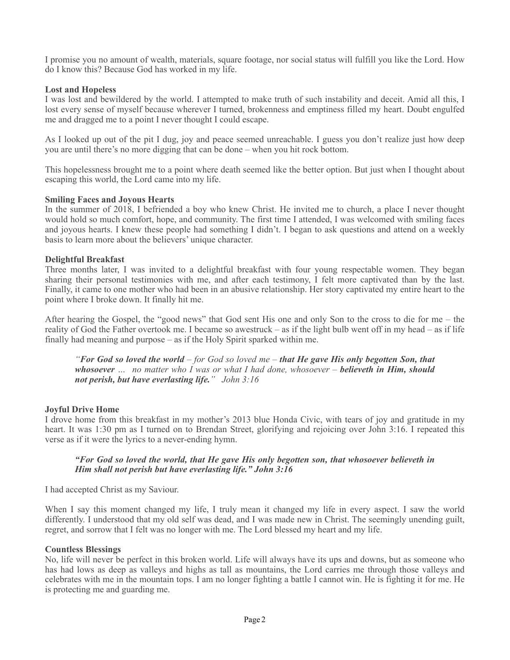I promise you no amount of wealth, materials, square footage, nor social status will fulfill you like the Lord. How do I know this? Because God has worked in my life.

## **Lost and Hopeless**

I was lost and bewildered by the world. I attempted to make truth of such instability and deceit. Amid all this, I lost every sense of myself because wherever I turned, brokenness and emptiness filled my heart. Doubt engulfed me and dragged me to a point I never thought I could escape.

As I looked up out of the pit I dug, joy and peace seemed unreachable. I guess you don't realize just how deep you are until there's no more digging that can be done – when you hit rock bottom.

This hopelessness brought me to a point where death seemed like the better option. But just when I thought about escaping this world, the Lord came into my life.

### **Smiling Faces and Joyous Hearts**

In the summer of 2018, I befriended a boy who knew Christ. He invited me to church, a place I never thought would hold so much comfort, hope, and community. The first time I attended, I was welcomed with smiling faces and joyous hearts. I knew these people had something I didn't. I began to ask questions and attend on a weekly basis to learn more about the believers' unique character.

### **Delightful Breakfast**

Three months later, I was invited to a delightful breakfast with four young respectable women. They began sharing their personal testimonies with me, and after each testimony, I felt more captivated than by the last. Finally, it came to one mother who had been in an abusive relationship. Her story captivated my entire heart to the point where I broke down. It finally hit me.

After hearing the Gospel, the "good news" that God sent His one and only Son to the cross to die for me – the reality of God the Father overtook me. I became so awestruck – as if the light bulb went off in my head – as if life finally had meaning and purpose – as if the Holy Spirit sparked within me.

*"For God so loved the world – for God so loved me – that He gave His only begotten Son, that whosoever … no matter who I was or what I had done, whosoever – believeth in Him, should not perish, but have everlasting life." John 3:16*

### **Joyful Drive Home**

I drove home from this breakfast in my mother's 2013 blue Honda Civic, with tears of joy and gratitude in my heart. It was 1:30 pm as I turned on to Brendan Street, glorifying and rejoicing over John 3:16. I repeated this verse as if it were the lyrics to a never-ending hymn.

### *"For God so loved the world, that He gave His only begotten son, that whosoever believeth in Him shall not perish but have everlasting life." John 3:16*

I had accepted Christ as my Saviour.

When I say this moment changed my life, I truly mean it changed my life in every aspect. I saw the world differently. I understood that my old self was dead, and I was made new in Christ. The seemingly unending guilt, regret, and sorrow that I felt was no longer with me. The Lord blessed my heart and my life.

### **Countless Blessings**

No, life will never be perfect in this broken world. Life will always have its ups and downs, but as someone who has had lows as deep as valleys and highs as tall as mountains, the Lord carries me through those valleys and celebrates with me in the mountain tops. I am no longer fighting a battle I cannot win. He is fighting it for me. He is protecting me and guarding me.